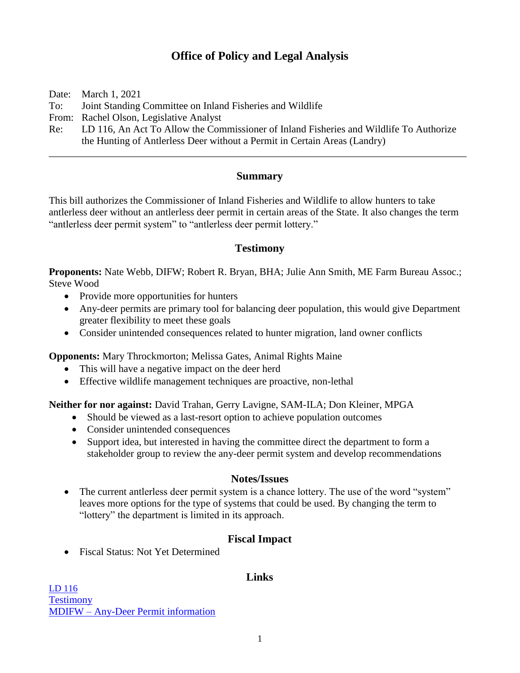# **Office of Policy and Legal Analysis**

Date: March 1, 2021

To: Joint Standing Committee on Inland Fisheries and Wildlife

From: Rachel Olson, Legislative Analyst

Re: LD 116, An Act To Allow the Commissioner of Inland Fisheries and Wildlife To Authorize the Hunting of Antlerless Deer without a Permit in Certain Areas (Landry)

## **Summary**

\_\_\_\_\_\_\_\_\_\_\_\_\_\_\_\_\_\_\_\_\_\_\_\_\_\_\_\_\_\_\_\_\_\_\_\_\_\_\_\_\_\_\_\_\_\_\_\_\_\_\_\_\_\_\_\_\_\_\_\_\_\_\_\_\_\_\_\_\_\_\_\_\_\_\_\_\_\_\_\_\_\_

This bill authorizes the Commissioner of Inland Fisheries and Wildlife to allow hunters to take antlerless deer without an antlerless deer permit in certain areas of the State. It also changes the term "antlerless deer permit system" to "antlerless deer permit lottery."

### **Testimony**

**Proponents:** Nate Webb, DIFW; Robert R. Bryan, BHA; Julie Ann Smith, ME Farm Bureau Assoc.; Steve Wood

- Provide more opportunities for hunters
- Any-deer permits are primary tool for balancing deer population, this would give Department greater flexibility to meet these goals
- Consider unintended consequences related to hunter migration, land owner conflicts

**Opponents:** Mary Throckmorton; Melissa Gates, Animal Rights Maine

- This will have a negative impact on the deer herd
- Effective wildlife management techniques are proactive, non-lethal

**Neither for nor against:** David Trahan, Gerry Lavigne, SAM-ILA; Don Kleiner, MPGA

- Should be viewed as a last-resort option to achieve population outcomes
- Consider unintended consequences
- Support idea, but interested in having the committee direct the department to form a stakeholder group to review the any-deer permit system and develop recommendations

### **Notes/Issues**

• The current antlerless deer permit system is a chance lottery. The use of the word "system" leaves more options for the type of systems that could be used. By changing the term to "lottery" the department is limited in its approach.

## **Fiscal Impact**

• Fiscal Status: Not Yet Determined

### **Links**

[LD 116](http://www.mainelegislature.org/legis/bills/getPDF.asp?paper=HP0082&item=1&snum=130) **[Testimony](http://www.mainelegislature.org/legis/bills/display_ps.asp?ld=116&PID=1456&snum=130)** MDIFW – [Any-Deer Permit information](https://www.maine.gov/ifw/hunting-trapping/any-deer-permit.html)